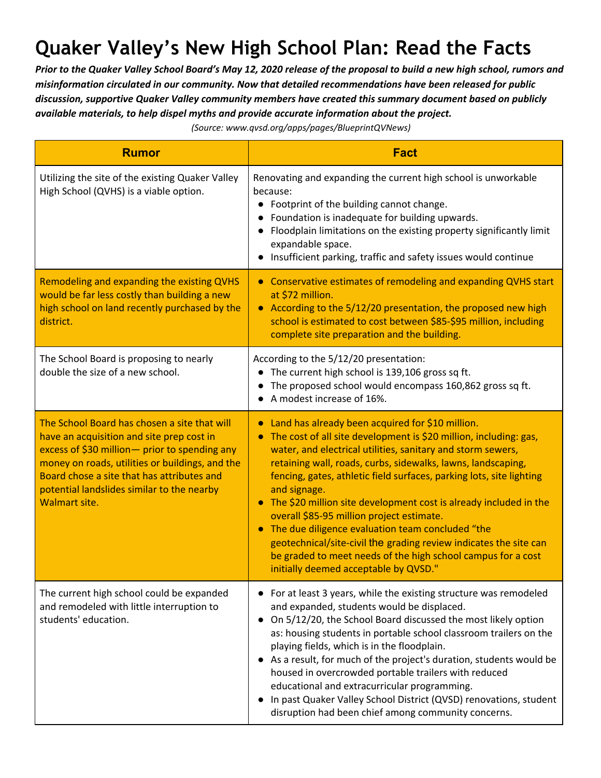## **Quaker Valley's New High School Plan: Read the Facts**

Prior to the Quaker Valley School Board's May 12, 2020 release of the proposal to build a new high school, rumors and *misinformation circulated in our community. Now that detailed recommendations have been released for public discussion, supportive Quaker Valley community members have created this summary document based on publicly available materials, to help dispel myths and provide accurate information about the project.*

*(Source: www.qvsd.org/apps/pages/BlueprintQVNews)*

| <b>Rumor</b>                                                                                                                                                                                                                                                                                                       | <b>Fact</b>                                                                                                                                                                                                                                                                                                                                                                                                                                                                                                                                                                                                                                                                                                                  |
|--------------------------------------------------------------------------------------------------------------------------------------------------------------------------------------------------------------------------------------------------------------------------------------------------------------------|------------------------------------------------------------------------------------------------------------------------------------------------------------------------------------------------------------------------------------------------------------------------------------------------------------------------------------------------------------------------------------------------------------------------------------------------------------------------------------------------------------------------------------------------------------------------------------------------------------------------------------------------------------------------------------------------------------------------------|
| Utilizing the site of the existing Quaker Valley<br>High School (QVHS) is a viable option.                                                                                                                                                                                                                         | Renovating and expanding the current high school is unworkable<br>because:<br>• Footprint of the building cannot change.<br>Foundation is inadequate for building upwards.<br>Floodplain limitations on the existing property significantly limit<br>expandable space.<br>Insufficient parking, traffic and safety issues would continue                                                                                                                                                                                                                                                                                                                                                                                     |
| Remodeling and expanding the existing QVHS<br>would be far less costly than building a new<br>high school on land recently purchased by the<br>district.                                                                                                                                                           | • Conservative estimates of remodeling and expanding QVHS start<br>at \$72 million.<br>• According to the 5/12/20 presentation, the proposed new high<br>school is estimated to cost between \$85-\$95 million, including<br>complete site preparation and the building.                                                                                                                                                                                                                                                                                                                                                                                                                                                     |
| The School Board is proposing to nearly<br>double the size of a new school.                                                                                                                                                                                                                                        | According to the 5/12/20 presentation:<br>The current high school is 139,106 gross sq ft.<br>The proposed school would encompass 160,862 gross sq ft.<br>A modest increase of 16%.                                                                                                                                                                                                                                                                                                                                                                                                                                                                                                                                           |
| The School Board has chosen a site that will<br>have an acquisition and site prep cost in<br>excess of \$30 million - prior to spending any<br>money on roads, utilities or buildings, and the<br>Board chose a site that has attributes and<br>potential landslides similar to the nearby<br><b>Walmart site.</b> | Land has already been acquired for \$10 million.<br>The cost of all site development is \$20 million, including: gas,<br>$\bullet$<br>water, and electrical utilities, sanitary and storm sewers,<br>retaining wall, roads, curbs, sidewalks, lawns, landscaping,<br>fencing, gates, athletic field surfaces, parking lots, site lighting<br>and signage.<br>• The \$20 million site development cost is already included in the<br>overall \$85-95 million project estimate.<br>The due diligence evaluation team concluded "the<br>$\bullet$<br>geotechnical/site-civil the grading review indicates the site can<br>be graded to meet needs of the high school campus for a cost<br>initially deemed acceptable by QVSD." |
| The current high school could be expanded<br>and remodeled with little interruption to<br>students' education.                                                                                                                                                                                                     | For at least 3 years, while the existing structure was remodeled<br>and expanded, students would be displaced.<br>On 5/12/20, the School Board discussed the most likely option<br>as: housing students in portable school classroom trailers on the<br>playing fields, which is in the floodplain.<br>As a result, for much of the project's duration, students would be<br>housed in overcrowded portable trailers with reduced<br>educational and extracurricular programming.<br>In past Quaker Valley School District (QVSD) renovations, student<br>disruption had been chief among community concerns.                                                                                                                |